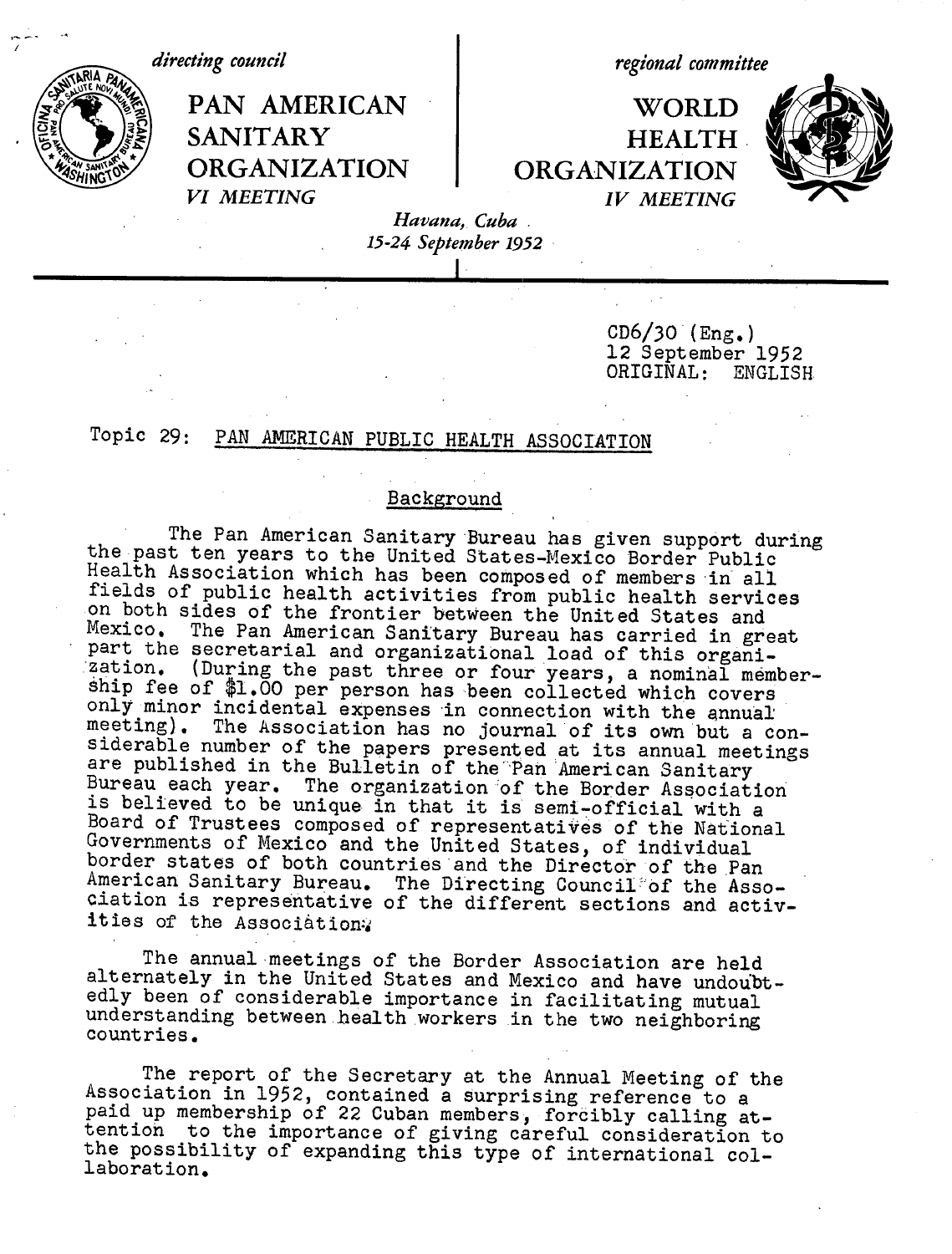*directing council regional committee*

PAN AMERICAN | WORLD **.r** The SANITARY HEALTH **SA CORGANIZATION** ORGANIZATION *VI MEETING VI MEETING IV MEETING*



*Havana, Cuba . 15-24 September 1952*

> $CD6/30$  (Eng.) 12 September 1952<br>ORIGINAL: ENGLISH  ${\tt ORIGINAL}$  :

## Topic 29: PAN AMERICAN PUBLIC HEALTH ASSOCIATION

## Background

The Pan American Sanitary Bureau has given support during<br>the past ten years to the United States-Mexico Border Public<br>Health Association which has been composed of members in all<br>fields of public health activities from pu Mexico. The Pan American Sanitary Bureau has carried in great<br>part the secretarial and organizational load of this organi-<br>zation. (During the past three or four years, a nominal member-<br>ship fee of \$1.00 per person has be Bureau each year. The organization of the Border Association<br>is believed to be unique in that it is semi-official with a Board of Trustees composed of representatives of the National Governments of Mexico and the United States, of individual border states of both countries and the Director of the Pan American Sanitary Bureau. The Directing Council of the Asso-ciation is representative of the different sections and activities of the Association:

The annual meetings of the Border Association are held<br>alternately in the United States and Mexico and have undoubt-<br>edly been of considerable importance in facilitating mutual<br>understanding between health workers in the t

The report of the Secretary at the Annual Meeting of the<br>Association in 1952, contained a surprising reference to a<br>paid up membership of 22 Cuban members, forcibly calling at-<br>tention to the importance of giving careful c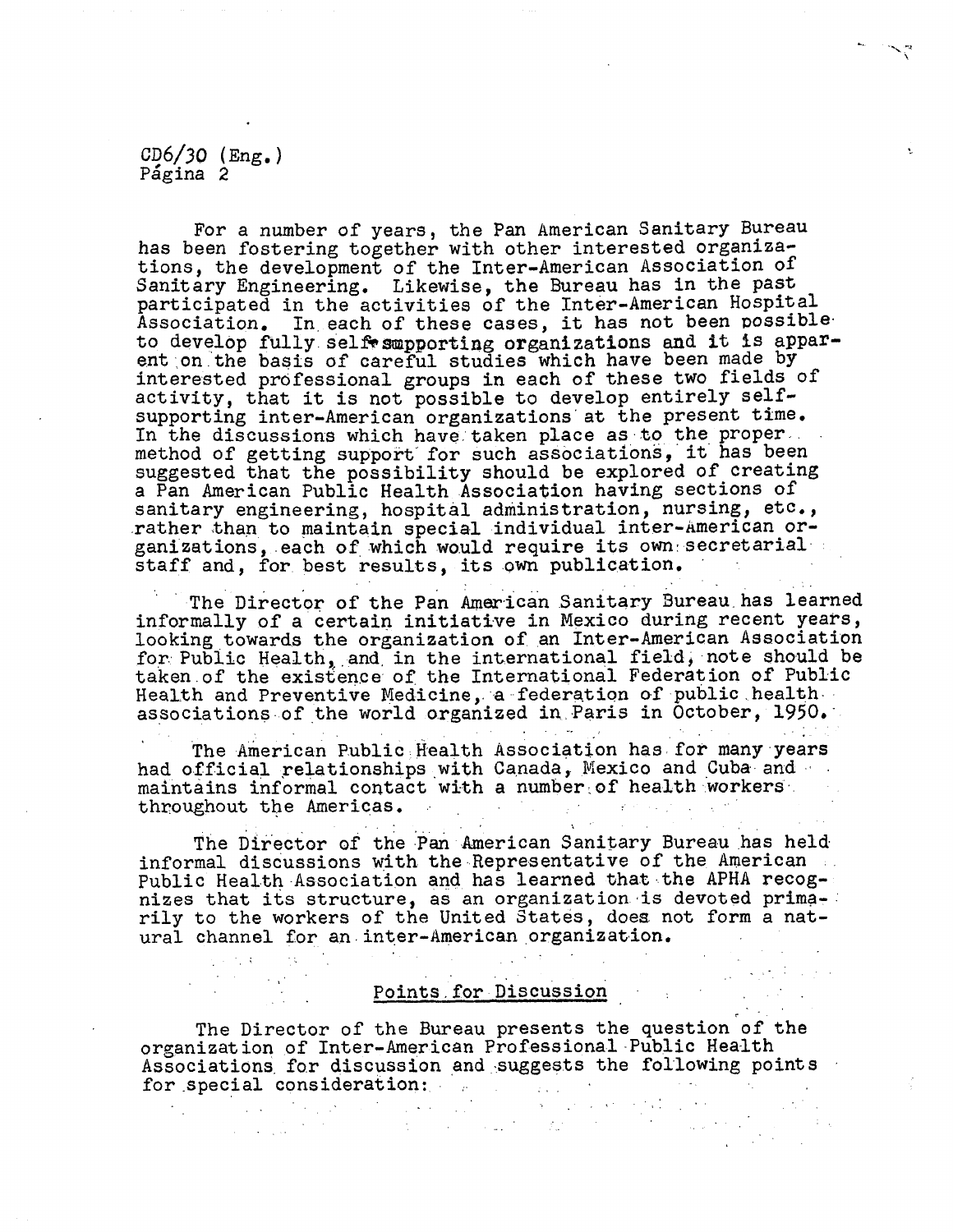CD6/30 (Eng.) Página 2

 $\label{eq:2.1} \frac{1}{2} \left( \frac{1}{2} \left( \frac{1}{2} \right) \right) \left( \frac{1}{2} \left( \frac{1}{2} \right) \right) \left( \frac{1}{2} \right) \left( \frac{1}{2} \right) \left( \frac{1}{2} \right) \left( \frac{1}{2} \right) \left( \frac{1}{2} \right) \left( \frac{1}{2} \right) \left( \frac{1}{2} \right) \left( \frac{1}{2} \right) \left( \frac{1}{2} \right) \left( \frac{1}{2} \right) \left( \frac{1}{2} \right) \left( \frac{1}{2$ 

 $\label{eq:2} \mathcal{L}(\mathcal{A}) = \mathcal{L}(\mathcal{A}) = \mathcal{L}(\mathcal{A}) = \mathcal{L}(\mathcal{A})$ 

For a number of years, the Pan American Sanitary Bureau has been fostering together with other interested organizations, the development of the Inter-American Association of Sanitary Engineering. Likewise, the Bureau has in the past participated in the activities of the Inter-American Hospital Association. In each of these cases, it has not been possible to develop fully self smpporting organizations and it is apparent on the basis of careful studies which have been made by interested professional groups in each of these two fields of activity, that it is not possible to develop entirely selfsupporting inter-American organizations' at the present time. In the discussions which have.taken place as to the proper.. method of getting support' for such associations, it' has been suggested that the possibility should be explored of creating a Pan American Public Health Association having sections of sanitary engineering, hospital administration, nursing, etc., .rather than to maintain special individual inter-American organizations, each of which would require its own secretarial. staff and, for best results, its own publication.

The Director of the Pan American Sanitary Bureau.has learned informally of a certain initiative in Mexico during recent years, looking towards the organization of an Inter-American Association for Public Health, and in the international field, note should be taken.of the existence of the International Federation of Public Health and Preventive Medicine, a federation of public health associations of the world organized in Paris in October, 1950.

The American Public Health Association has for many years had official relationships with Canada, Mexico and Cuba and ... maintains informal contact with a number of health workers. throughout the Americas. **College** 

The Director of the Pan American Sanitary Bureau has held informal discussions with the Representative of the American Public Health Association and has learned that the APHA recognizes that its structure, as an organization is devoted prima-: rily to the workers of the United States, does not form a natural channel for an.inter-American organization.

## Points.for Discussion

 $\mathcal{L}^{\mathcal{L}}(\mathcal{L}^{\mathcal{L}})$  and the contribution of the contribution of  $\mathcal{L}^{\mathcal{L}}$ 

 $\mathcal{L}_{\text{max}}$  , where  $\mathcal{L}_{\text{max}}$  and  $\mathcal{L}_{\text{max}}$ 

The Director of the Bureau presents the question of the organization of Inter-American Professional-Public Health Associations for discussion and suggests the following points Associations for discussion and employees and the constant of the special consideration: